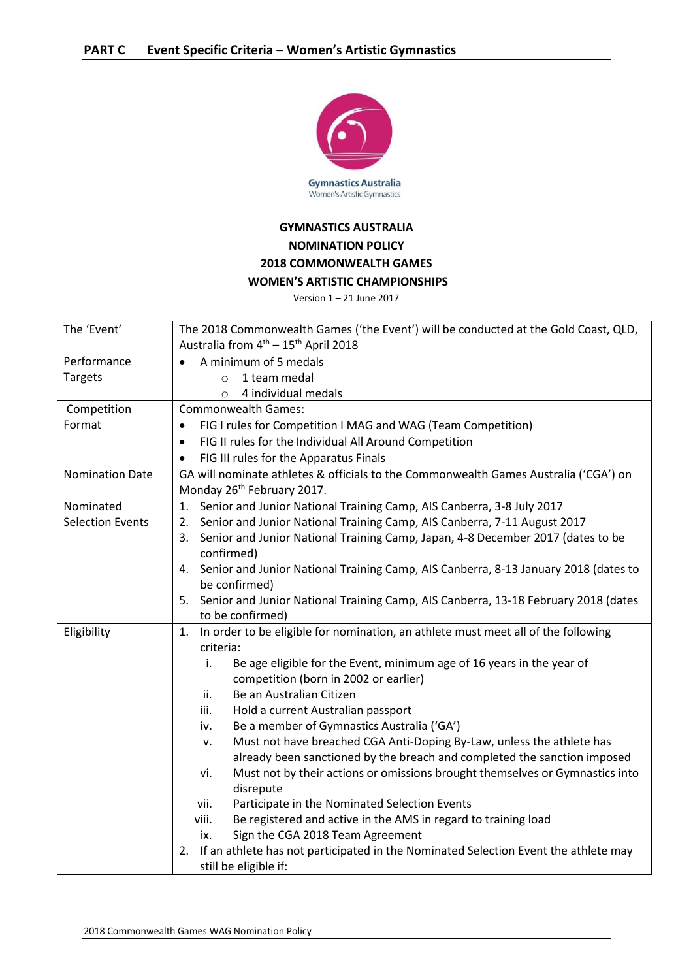

## **GYMNASTICS AUSTRALIA NOMINATION POLICY 2018 COMMONWEALTH GAMES WOMEN'S ARTISTIC CHAMPIONSHIPS**

Version 1 – 21 June 2017

| The 'Event'             | The 2018 Commonwealth Games ('the Event') will be conducted at the Gold Coast, QLD,       |
|-------------------------|-------------------------------------------------------------------------------------------|
|                         | Australia from 4 <sup>th</sup> - 15 <sup>th</sup> April 2018                              |
| Performance             | A minimum of 5 medals                                                                     |
| <b>Targets</b>          | 1 team medal<br>$\circ$                                                                   |
|                         | 4 individual medals<br>$\circ$                                                            |
| Competition             | <b>Commonwealth Games:</b>                                                                |
| Format                  | FIG I rules for Competition I MAG and WAG (Team Competition)<br>$\bullet$                 |
|                         | FIG II rules for the Individual All Around Competition<br>$\bullet$                       |
|                         | FIG III rules for the Apparatus Finals<br>$\bullet$                                       |
| <b>Nomination Date</b>  | GA will nominate athletes & officials to the Commonwealth Games Australia ('CGA') on      |
|                         | Monday 26 <sup>th</sup> February 2017.                                                    |
| Nominated               | Senior and Junior National Training Camp, AIS Canberra, 3-8 July 2017<br>1.               |
| <b>Selection Events</b> | Senior and Junior National Training Camp, AIS Canberra, 7-11 August 2017<br>2.            |
|                         | Senior and Junior National Training Camp, Japan, 4-8 December 2017 (dates to be<br>3.     |
|                         | confirmed)                                                                                |
|                         | 4. Senior and Junior National Training Camp, AIS Canberra, 8-13 January 2018 (dates to    |
|                         | be confirmed)                                                                             |
|                         | 5. Senior and Junior National Training Camp, AIS Canberra, 13-18 February 2018 (dates     |
|                         | to be confirmed)                                                                          |
| Eligibility             | In order to be eligible for nomination, an athlete must meet all of the following<br>1.   |
|                         | criteria:                                                                                 |
|                         | Be age eligible for the Event, minimum age of 16 years in the year of<br>i.               |
|                         | competition (born in 2002 or earlier)                                                     |
|                         | Be an Australian Citizen<br>ii.                                                           |
|                         | Hold a current Australian passport<br>iii.                                                |
|                         | Be a member of Gymnastics Australia ('GA')<br>iv.                                         |
|                         | Must not have breached CGA Anti-Doping By-Law, unless the athlete has<br>ν.               |
|                         | already been sanctioned by the breach and completed the sanction imposed                  |
|                         | Must not by their actions or omissions brought themselves or Gymnastics into<br>vi.       |
|                         | disrepute                                                                                 |
|                         | Participate in the Nominated Selection Events<br>vii.                                     |
|                         | Be registered and active in the AMS in regard to training load<br>viii.                   |
|                         | Sign the CGA 2018 Team Agreement<br>ix.                                                   |
|                         | If an athlete has not participated in the Nominated Selection Event the athlete may<br>2. |
|                         | still be eligible if:                                                                     |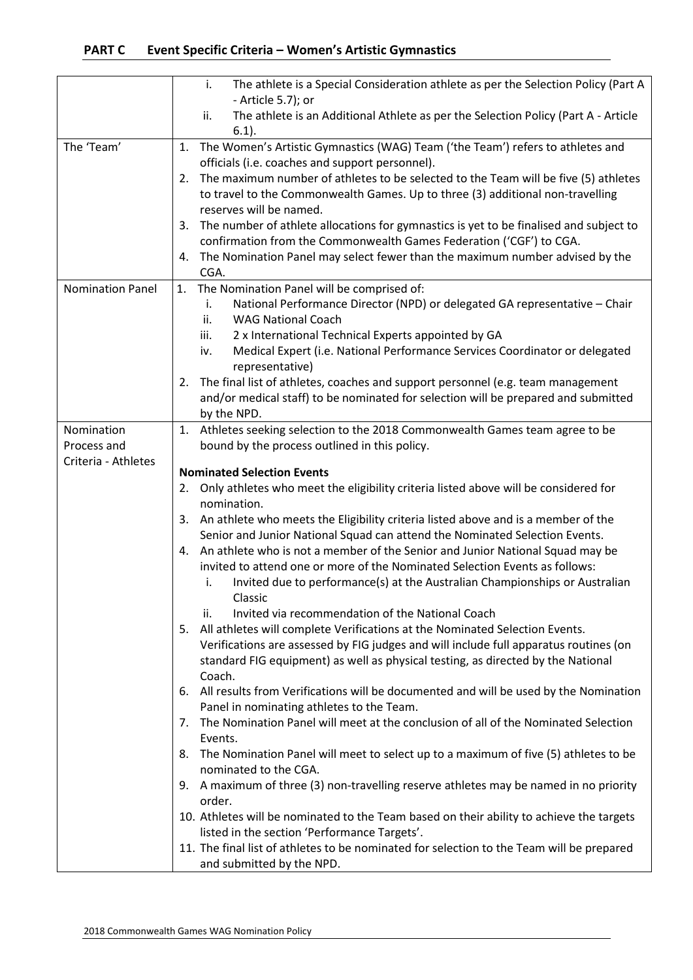|                         | The athlete is a Special Consideration athlete as per the Selection Policy (Part A<br>i.<br>- Article 5.7); or |
|-------------------------|----------------------------------------------------------------------------------------------------------------|
|                         | The athlete is an Additional Athlete as per the Selection Policy (Part A - Article<br>ii.                      |
|                         | $6.1$ ).                                                                                                       |
| The 'Team'              | The Women's Artistic Gymnastics (WAG) Team ('the Team') refers to athletes and<br>1.                           |
|                         | officials (i.e. coaches and support personnel).                                                                |
|                         | The maximum number of athletes to be selected to the Team will be five (5) athletes<br>2.                      |
|                         | to travel to the Commonwealth Games. Up to three (3) additional non-travelling                                 |
|                         | reserves will be named.                                                                                        |
|                         | The number of athlete allocations for gymnastics is yet to be finalised and subject to<br>3.                   |
|                         | confirmation from the Commonwealth Games Federation ('CGF') to CGA.                                            |
|                         | The Nomination Panel may select fewer than the maximum number advised by the<br>4.                             |
|                         | CGA.                                                                                                           |
| <b>Nomination Panel</b> | The Nomination Panel will be comprised of:<br>1.                                                               |
|                         | National Performance Director (NPD) or delegated GA representative - Chair<br>i.                               |
|                         | ii.<br><b>WAG National Coach</b>                                                                               |
|                         | 2 x International Technical Experts appointed by GA<br>iii.                                                    |
|                         | Medical Expert (i.e. National Performance Services Coordinator or delegated<br>iv.<br>representative)          |
|                         | The final list of athletes, coaches and support personnel (e.g. team management<br>2.                          |
|                         | and/or medical staff) to be nominated for selection will be prepared and submitted                             |
|                         | by the NPD.                                                                                                    |
| Nomination              | 1. Athletes seeking selection to the 2018 Commonwealth Games team agree to be                                  |
| Process and             | bound by the process outlined in this policy.                                                                  |
| Criteria - Athletes     |                                                                                                                |
|                         | <b>Nominated Selection Events</b>                                                                              |
|                         | Only athletes who meet the eligibility criteria listed above will be considered for<br>2.                      |
|                         | nomination.                                                                                                    |
|                         | An athlete who meets the Eligibility criteria listed above and is a member of the<br>3.                        |
|                         | Senior and Junior National Squad can attend the Nominated Selection Events.                                    |
|                         | 4. An athlete who is not a member of the Senior and Junior National Squad may be                               |
|                         | invited to attend one or more of the Nominated Selection Events as follows:                                    |
|                         | Invited due to performance(s) at the Australian Championships or Australian<br>i.<br>Classic                   |
|                         | Invited via recommendation of the National Coach<br>ii.                                                        |
|                         | 5.<br>All athletes will complete Verifications at the Nominated Selection Events.                              |
|                         | Verifications are assessed by FIG judges and will include full apparatus routines (on                          |
|                         | standard FIG equipment) as well as physical testing, as directed by the National                               |
|                         | Coach.                                                                                                         |
|                         | All results from Verifications will be documented and will be used by the Nomination<br>6.                     |
|                         | Panel in nominating athletes to the Team.                                                                      |
|                         | The Nomination Panel will meet at the conclusion of all of the Nominated Selection<br>7.                       |
|                         | Events.                                                                                                        |
|                         | The Nomination Panel will meet to select up to a maximum of five (5) athletes to be<br>8.                      |
|                         | nominated to the CGA.                                                                                          |
|                         | A maximum of three (3) non-travelling reserve athletes may be named in no priority<br>9.                       |
|                         | order.                                                                                                         |
|                         | 10. Athletes will be nominated to the Team based on their ability to achieve the targets                       |
|                         | listed in the section 'Performance Targets'.                                                                   |
|                         | 11. The final list of athletes to be nominated for selection to the Team will be prepared                      |
|                         | and submitted by the NPD.                                                                                      |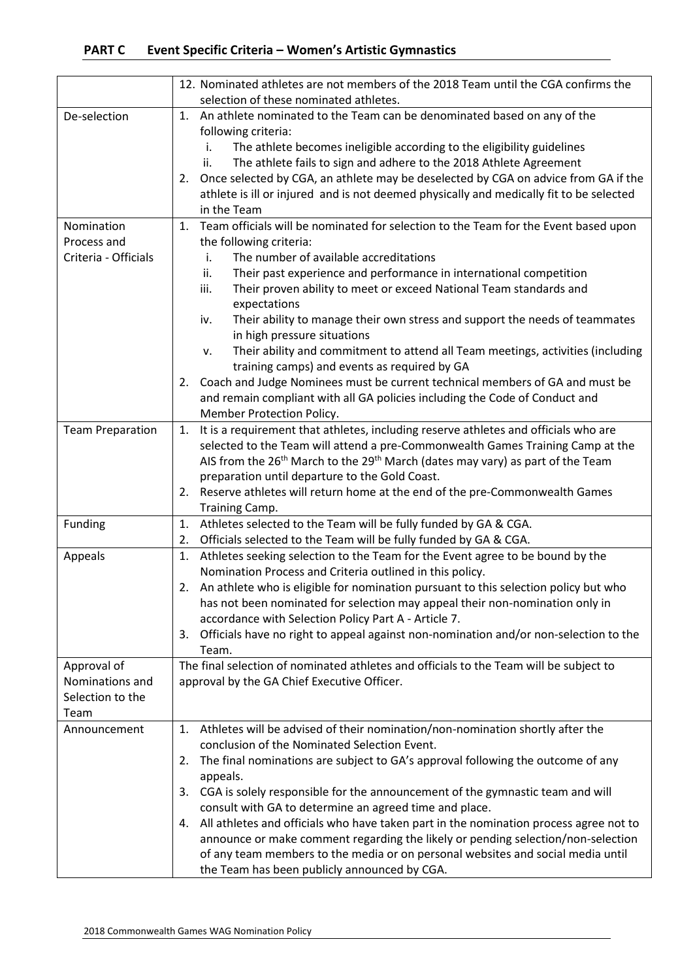|                         | 12. Nominated athletes are not members of the 2018 Team until the CGA confirms the                                                         |
|-------------------------|--------------------------------------------------------------------------------------------------------------------------------------------|
|                         | selection of these nominated athletes.                                                                                                     |
| De-selection            | An athlete nominated to the Team can be denominated based on any of the<br>1.                                                              |
|                         | following criteria:                                                                                                                        |
|                         | The athlete becomes ineligible according to the eligibility guidelines<br>i.                                                               |
|                         | The athlete fails to sign and adhere to the 2018 Athlete Agreement<br>ii.                                                                  |
|                         | Once selected by CGA, an athlete may be deselected by CGA on advice from GA if the<br>2.                                                   |
|                         | athlete is ill or injured and is not deemed physically and medically fit to be selected                                                    |
|                         | in the Team                                                                                                                                |
| Nomination              | Team officials will be nominated for selection to the Team for the Event based upon<br>1.                                                  |
| Process and             | the following criteria:                                                                                                                    |
| Criteria - Officials    | The number of available accreditations<br>i.                                                                                               |
|                         | Their past experience and performance in international competition<br>ii.                                                                  |
|                         | Their proven ability to meet or exceed National Team standards and<br>iii.                                                                 |
|                         | expectations                                                                                                                               |
|                         | Their ability to manage their own stress and support the needs of teammates<br>iv.                                                         |
|                         | in high pressure situations                                                                                                                |
|                         | Their ability and commitment to attend all Team meetings, activities (including<br>ν.                                                      |
|                         | training camps) and events as required by GA                                                                                               |
|                         | Coach and Judge Nominees must be current technical members of GA and must be<br>2.                                                         |
|                         | and remain compliant with all GA policies including the Code of Conduct and                                                                |
|                         | Member Protection Policy.                                                                                                                  |
| <b>Team Preparation</b> | It is a requirement that athletes, including reserve athletes and officials who are<br>1.                                                  |
|                         | selected to the Team will attend a pre-Commonwealth Games Training Camp at the                                                             |
|                         | AIS from the 26 <sup>th</sup> March to the 29 <sup>th</sup> March (dates may vary) as part of the Team                                     |
|                         | preparation until departure to the Gold Coast.                                                                                             |
|                         | 2. Reserve athletes will return home at the end of the pre-Commonwealth Games                                                              |
|                         | Training Camp.                                                                                                                             |
| Funding                 | Athletes selected to the Team will be fully funded by GA & CGA.<br>1.                                                                      |
|                         | Officials selected to the Team will be fully funded by GA & CGA.<br>2.                                                                     |
| Appeals                 | Athletes seeking selection to the Team for the Event agree to be bound by the<br>1.                                                        |
|                         | Nomination Process and Criteria outlined in this policy.                                                                                   |
|                         | An athlete who is eligible for nomination pursuant to this selection policy but who<br>2.                                                  |
|                         | has not been nominated for selection may appeal their non-nomination only in                                                               |
|                         | accordance with Selection Policy Part A - Article 7.                                                                                       |
|                         | Officials have no right to appeal against non-nomination and/or non-selection to the<br>3.                                                 |
|                         | Team.                                                                                                                                      |
| Approval of             | The final selection of nominated athletes and officials to the Team will be subject to                                                     |
| Nominations and         | approval by the GA Chief Executive Officer.                                                                                                |
| Selection to the        |                                                                                                                                            |
| Team                    |                                                                                                                                            |
| Announcement            | Athletes will be advised of their nomination/non-nomination shortly after the<br>1.                                                        |
|                         | conclusion of the Nominated Selection Event.                                                                                               |
|                         | The final nominations are subject to GA's approval following the outcome of any<br>2.                                                      |
|                         | appeals.                                                                                                                                   |
|                         | 3. CGA is solely responsible for the announcement of the gymnastic team and will<br>consult with GA to determine an agreed time and place. |
|                         | All athletes and officials who have taken part in the nomination process agree not to<br>4.                                                |
|                         | announce or make comment regarding the likely or pending selection/non-selection                                                           |
|                         | of any team members to the media or on personal websites and social media until                                                            |
|                         | the Team has been publicly announced by CGA.                                                                                               |
|                         |                                                                                                                                            |